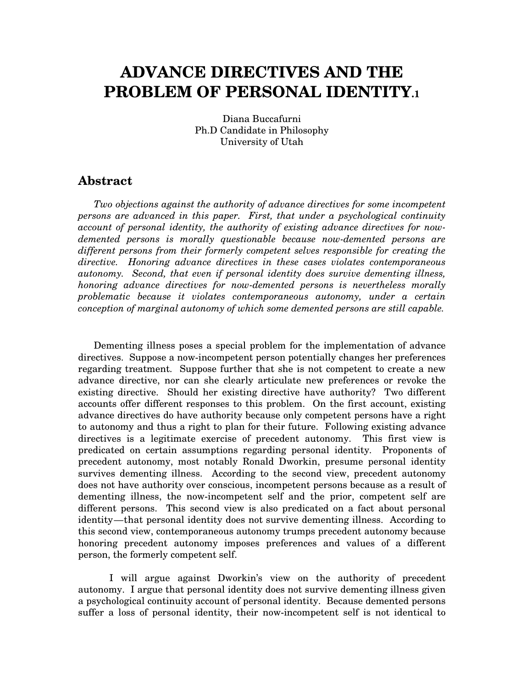# **ADVANCE DIRECTIVES AND THE PROBLEM OF PERSONAL IDENTITY.1**

Diana Buccafurni Ph.D Candidate in Philosophy University of Utah

#### **Abstract**

*Two objections against the authority of advance directives for some incompetent persons are advanced in this paper. First, that under a psychological continuity account of personal identity, the authority of existing advance directives for nowdemented persons is morally questionable because now-demented persons are different persons from their formerly competent selves responsible for creating the directive. Honoring advance directives in these cases violates contemporaneous autonomy. Second, that even if personal identity does survive dementing illness, honoring advance directives for now-demented persons is nevertheless morally problematic because it violates contemporaneous autonomy, under a certain conception of marginal autonomy of which some demented persons are still capable.*

Dementing illness poses a special problem for the implementation of advance directives. Suppose a now-incompetent person potentially changes her preferences regarding treatment. Suppose further that she is not competent to create a new advance directive, nor can she clearly articulate new preferences or revoke the existing directive. Should her existing directive have authority? Two different accounts offer different responses to this problem. On the first account, existing advance directives do have authority because only competent persons have a right to autonomy and thus a right to plan for their future. Following existing advance directives is a legitimate exercise of precedent autonomy. This first view is predicated on certain assumptions regarding personal identity. Proponents of precedent autonomy, most notably Ronald Dworkin, presume personal identity survives dementing illness. According to the second view, precedent autonomy does not have authority over conscious, incompetent persons because as a result of dementing illness, the now-incompetent self and the prior, competent self are different persons. This second view is also predicated on a fact about personal identity—that personal identity does not survive dementing illness. According to this second view, contemporaneous autonomy trumps precedent autonomy because honoring precedent autonomy imposes preferences and values of a different person, the formerly competent self.

I will argue against Dworkin's view on the authority of precedent autonomy. I argue that personal identity does not survive dementing illness given a psychological continuity account of personal identity. Because demented persons suffer a loss of personal identity, their now-incompetent self is not identical to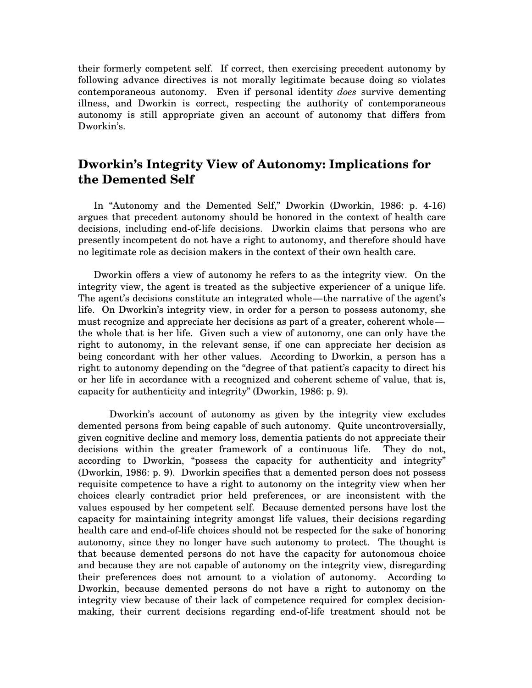their formerly competent self. If correct, then exercising precedent autonomy by following advance directives is not morally legitimate because doing so violates contemporaneous autonomy. Even if personal identity *does* survive dementing illness, and Dworkin is correct, respecting the authority of contemporaneous autonomy is still appropriate given an account of autonomy that differs from Dworkin's.

### **Dworkin's Integrity View of Autonomy: Implications for the Demented Self**

In "Autonomy and the Demented Self," Dworkin (Dworkin, 1986: p. 4-16) argues that precedent autonomy should be honored in the context of health care decisions, including end-of-life decisions. Dworkin claims that persons who are presently incompetent do not have a right to autonomy, and therefore should have no legitimate role as decision makers in the context of their own health care.

Dworkin offers a view of autonomy he refers to as the integrity view. On the integrity view, the agent is treated as the subjective experiencer of a unique life. The agent's decisions constitute an integrated whole—the narrative of the agent's life. On Dworkin's integrity view, in order for a person to possess autonomy, she must recognize and appreciate her decisions as part of a greater, coherent whole the whole that is her life. Given such a view of autonomy, one can only have the right to autonomy, in the relevant sense, if one can appreciate her decision as being concordant with her other values. According to Dworkin, a person has a right to autonomy depending on the "degree of that patient's capacity to direct his or her life in accordance with a recognized and coherent scheme of value, that is, capacity for authenticity and integrity" (Dworkin, 1986: p. 9).

Dworkin's account of autonomy as given by the integrity view excludes demented persons from being capable of such autonomy. Quite uncontroversially, given cognitive decline and memory loss, dementia patients do not appreciate their decisions within the greater framework of a continuous life. They do not, according to Dworkin, "possess the capacity for authenticity and integrity" (Dworkin, 1986: p. 9). Dworkin specifies that a demented person does not possess requisite competence to have a right to autonomy on the integrity view when her choices clearly contradict prior held preferences, or are inconsistent with the values espoused by her competent self. Because demented persons have lost the capacity for maintaining integrity amongst life values, their decisions regarding health care and end-of-life choices should not be respected for the sake of honoring autonomy, since they no longer have such autonomy to protect. The thought is that because demented persons do not have the capacity for autonomous choice and because they are not capable of autonomy on the integrity view, disregarding their preferences does not amount to a violation of autonomy. According to Dworkin, because demented persons do not have a right to autonomy on the integrity view because of their lack of competence required for complex decisionmaking, their current decisions regarding end-of-life treatment should not be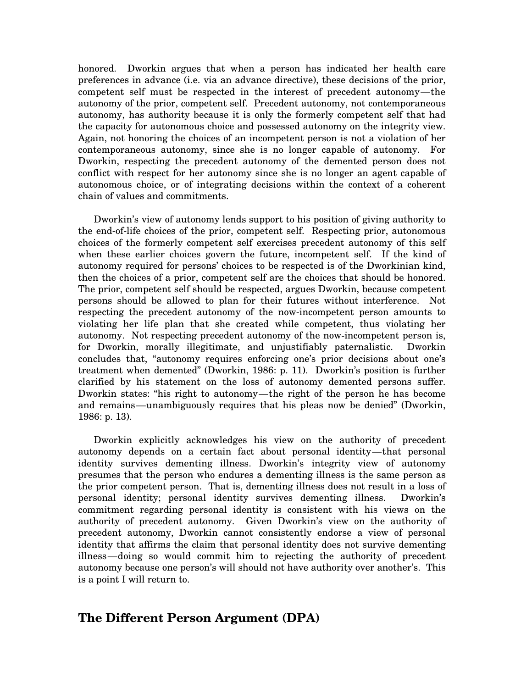honored. Dworkin argues that when a person has indicated her health care preferences in advance (i.e. via an advance directive), these decisions of the prior, competent self must be respected in the interest of precedent autonomy—the autonomy of the prior, competent self. Precedent autonomy, not contemporaneous autonomy, has authority because it is only the formerly competent self that had the capacity for autonomous choice and possessed autonomy on the integrity view. Again, not honoring the choices of an incompetent person is not a violation of her contemporaneous autonomy, since she is no longer capable of autonomy. For Dworkin, respecting the precedent autonomy of the demented person does not conflict with respect for her autonomy since she is no longer an agent capable of autonomous choice, or of integrating decisions within the context of a coherent chain of values and commitments.

Dworkin's view of autonomy lends support to his position of giving authority to the end-of-life choices of the prior, competent self. Respecting prior, autonomous choices of the formerly competent self exercises precedent autonomy of this self when these earlier choices govern the future, incompetent self. If the kind of autonomy required for persons' choices to be respected is of the Dworkinian kind, then the choices of a prior, competent self are the choices that should be honored. The prior, competent self should be respected, argues Dworkin, because competent persons should be allowed to plan for their futures without interference. Not respecting the precedent autonomy of the now-incompetent person amounts to violating her life plan that she created while competent, thus violating her autonomy. Not respecting precedent autonomy of the now-incompetent person is, for Dworkin, morally illegitimate, and unjustifiably paternalistic. Dworkin concludes that, "autonomy requires enforcing one's prior decisions about one's treatment when demented" (Dworkin, 1986: p. 11). Dworkin's position is further clarified by his statement on the loss of autonomy demented persons suffer. Dworkin states: "his right to autonomy—the right of the person he has become and remains—unambiguously requires that his pleas now be denied" (Dworkin, 1986: p. 13).

Dworkin explicitly acknowledges his view on the authority of precedent autonomy depends on a certain fact about personal identity—that personal identity survives dementing illness. Dworkin's integrity view of autonomy presumes that the person who endures a dementing illness is the same person as the prior competent person. That is, dementing illness does not result in a loss of personal identity; personal identity survives dementing illness. Dworkin's commitment regarding personal identity is consistent with his views on the authority of precedent autonomy. Given Dworkin's view on the authority of precedent autonomy, Dworkin cannot consistently endorse a view of personal identity that affirms the claim that personal identity does not survive dementing illness—doing so would commit him to rejecting the authority of precedent autonomy because one person's will should not have authority over another's. This is a point I will return to.

#### **The Different Person Argument (DPA)**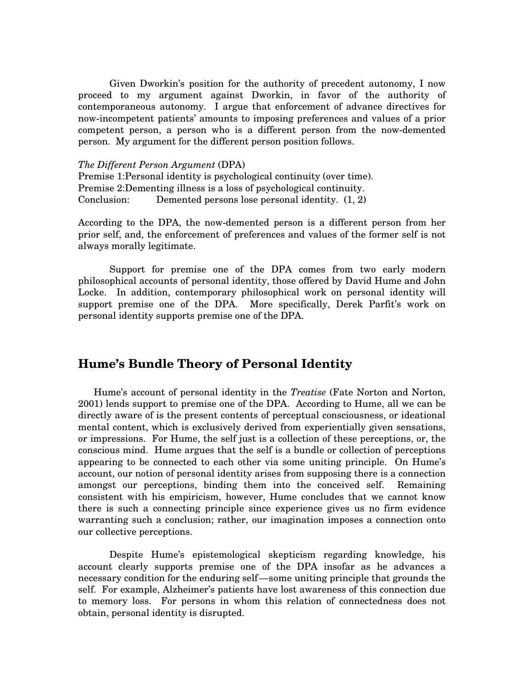Given Dworkin's position for the authority of precedent autonomy, I now proceed to my argument against Dworkin, in favor of the authority of contemporaneous autonomy. I argue that enforcement of advance directives for now-incompetent patients' amounts to imposing preferences and values of a prior competent person, a person who is a different person from the now-demented person. My argument for the different person position follows.

#### *The Different Person Argument* (DPA)

Premise 1:Personal identity is psychological continuity (over time). Premise 2:Dementing illness is a loss of psychological continuity. Conclusion: Demented persons lose personal identity. (1, 2)

According to the DPA, the now-demented person is a different person from her prior self, and, the enforcement of preferences and values of the former self is not always morally legitimate.

Support for premise one of the DPA comes from two early modern philosophical accounts of personal identity, those offered by David Hume and John Locke. In addition, contemporary philosophical work on personal identity will support premise one of the DPA. More specifically, Derek Parfit's work on personal identity supports premise one of the DPA.

#### **Hume's Bundle Theory of Personal Identity**

Hume's account of personal identity in the *Treatise* (Fate Norton and Norton, 2001) lends support to premise one of the DPA. According to Hume, all we can be directly aware of is the present contents of perceptual consciousness, or ideational mental content, which is exclusively derived from experientially given sensations, or impressions. For Hume, the self just is a collection of these perceptions, or, the conscious mind. Hume argues that the self is a bundle or collection of perceptions appearing to be connected to each other via some uniting principle. On Hume's account, our notion of personal identity arises from supposing there is a connection amongst our perceptions, binding them into the conceived self. Remaining consistent with his empiricism, however, Hume concludes that we cannot know there is such a connecting principle since experience gives us no firm evidence warranting such a conclusion; rather, our imagination imposes a connection onto our collective perceptions.

Despite Hume's epistemological skepticism regarding knowledge, his account clearly supports premise one of the DPA insofar as he advances a necessary condition for the enduring self—some uniting principle that grounds the self. For example, Alzheimer's patients have lost awareness of this connection due to memory loss. For persons in whom this relation of connectedness does not obtain, personal identity is disrupted.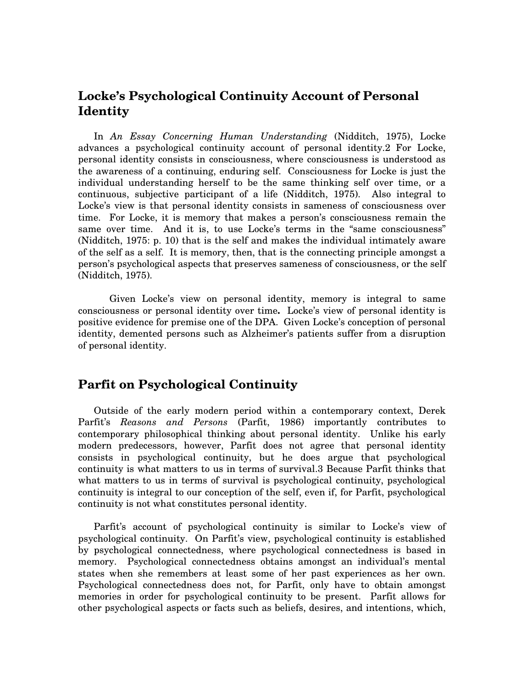### **Locke's Psychological Continuity Account of Personal Identity**

In *An Essay Concerning Human Understanding* (Nidditch, 1975), Locke advances a psychological continuity account of personal identity.2 For Locke, personal identity consists in consciousness, where consciousness is understood as the awareness of a continuing, enduring self. Consciousness for Locke is just the individual understanding herself to be the same thinking self over time, or a continuous, subjective participant of a life (Nidditch, 1975). Also integral to Locke's view is that personal identity consists in sameness of consciousness over time. For Locke, it is memory that makes a person's consciousness remain the same over time. And it is, to use Locke's terms in the "same consciousness" (Nidditch, 1975: p. 10) that is the self and makes the individual intimately aware of the self as a self. It is memory, then, that is the connecting principle amongst a person's psychological aspects that preserves sameness of consciousness, or the self (Nidditch, 1975).

Given Locke's view on personal identity, memory is integral to same consciousness or personal identity over time**.** Locke's view of personal identity is positive evidence for premise one of the DPA. Given Locke's conception of personal identity, demented persons such as Alzheimer's patients suffer from a disruption of personal identity.

### **Parfit on Psychological Continuity**

Outside of the early modern period within a contemporary context, Derek Parfit's *Reasons and Persons* (Parfit, 1986) importantly contributes to contemporary philosophical thinking about personal identity. Unlike his early modern predecessors, however, Parfit does not agree that personal identity consists in psychological continuity, but he does argue that psychological continuity is what matters to us in terms of survival.3 Because Parfit thinks that what matters to us in terms of survival is psychological continuity, psychological continuity is integral to our conception of the self, even if, for Parfit, psychological continuity is not what constitutes personal identity.

Parfit's account of psychological continuity is similar to Locke's view of psychological continuity. On Parfit's view, psychological continuity is established by psychological connectedness, where psychological connectedness is based in memory. Psychological connectedness obtains amongst an individual's mental states when she remembers at least some of her past experiences as her own. Psychological connectedness does not, for Parfit, only have to obtain amongst memories in order for psychological continuity to be present. Parfit allows for other psychological aspects or facts such as beliefs, desires, and intentions, which,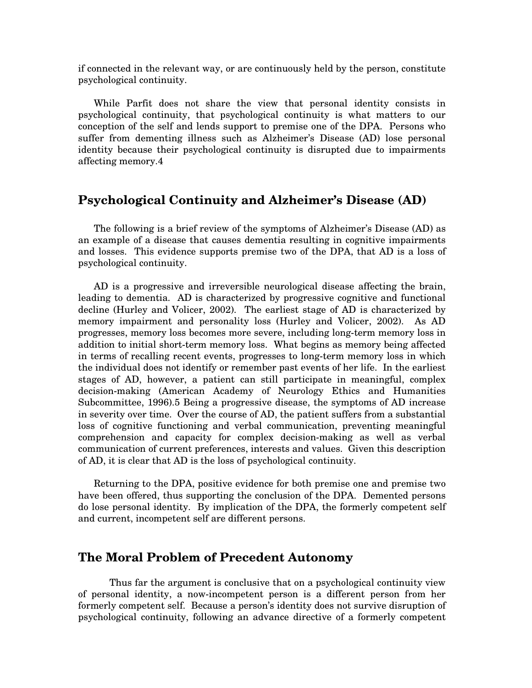if connected in the relevant way, or are continuously held by the person, constitute psychological continuity.

While Parfit does not share the view that personal identity consists in psychological continuity, that psychological continuity is what matters to our conception of the self and lends support to premise one of the DPA. Persons who suffer from dementing illness such as Alzheimer's Disease (AD) lose personal identity because their psychological continuity is disrupted due to impairments affecting memory.4

#### **Psychological Continuity and Alzheimer's Disease (AD)**

The following is a brief review of the symptoms of Alzheimer's Disease (AD) as an example of a disease that causes dementia resulting in cognitive impairments and losses. This evidence supports premise two of the DPA, that AD is a loss of psychological continuity.

AD is a progressive and irreversible neurological disease affecting the brain, leading to dementia. AD is characterized by progressive cognitive and functional decline (Hurley and Volicer, 2002). The earliest stage of AD is characterized by memory impairment and personality loss (Hurley and Volicer, 2002). As AD progresses, memory loss becomes more severe, including long-term memory loss in addition to initial short-term memory loss. What begins as memory being affected in terms of recalling recent events, progresses to long-term memory loss in which the individual does not identify or remember past events of her life. In the earliest stages of AD, however, a patient can still participate in meaningful, complex decision-making (American Academy of Neurology Ethics and Humanities Subcommittee, 1996).5 Being a progressive disease, the symptoms of AD increase in severity over time. Over the course of AD, the patient suffers from a substantial loss of cognitive functioning and verbal communication, preventing meaningful comprehension and capacity for complex decision-making as well as verbal communication of current preferences, interests and values. Given this description of AD, it is clear that AD is the loss of psychological continuity.

Returning to the DPA, positive evidence for both premise one and premise two have been offered, thus supporting the conclusion of the DPA. Demented persons do lose personal identity. By implication of the DPA, the formerly competent self and current, incompetent self are different persons.

#### **The Moral Problem of Precedent Autonomy**

Thus far the argument is conclusive that on a psychological continuity view of personal identity, a now-incompetent person is a different person from her formerly competent self. Because a person's identity does not survive disruption of psychological continuity, following an advance directive of a formerly competent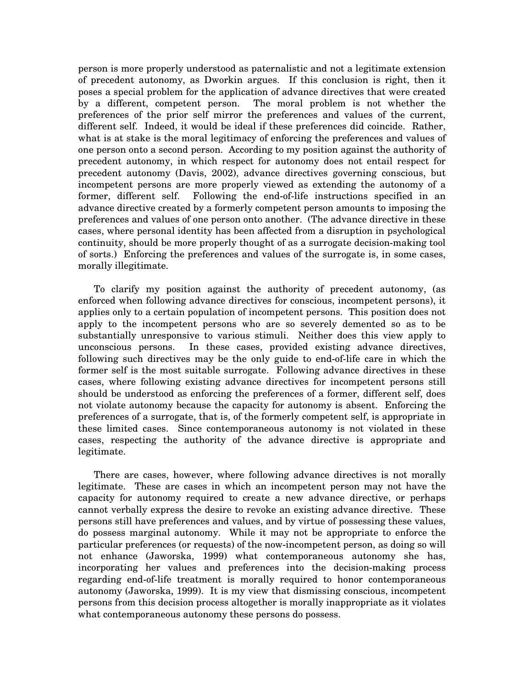person is more properly understood as paternalistic and not a legitimate extension of precedent autonomy, as Dworkin argues. If this conclusion is right, then it poses a special problem for the application of advance directives that were created by a different, competent person. The moral problem is not whether the preferences of the prior self mirror the preferences and values of the current, different self. Indeed, it would be ideal if these preferences did coincide. Rather, what is at stake is the moral legitimacy of enforcing the preferences and values of one person onto a second person. According to my position against the authority of precedent autonomy, in which respect for autonomy does not entail respect for precedent autonomy (Davis, 2002), advance directives governing conscious, but incompetent persons are more properly viewed as extending the autonomy of a former, different self. Following the end-of-life instructions specified in an advance directive created by a formerly competent person amounts to imposing the preferences and values of one person onto another. (The advance directive in these cases, where personal identity has been affected from a disruption in psychological continuity, should be more properly thought of as a surrogate decision-making tool of sorts.) Enforcing the preferences and values of the surrogate is, in some cases, morally illegitimate.

To clarify my position against the authority of precedent autonomy, (as enforced when following advance directives for conscious, incompetent persons), it applies only to a certain population of incompetent persons. This position does not apply to the incompetent persons who are so severely demented so as to be substantially unresponsive to various stimuli. Neither does this view apply to unconscious persons. In these cases, provided existing advance directives, following such directives may be the only guide to end-of-life care in which the former self is the most suitable surrogate. Following advance directives in these cases, where following existing advance directives for incompetent persons still should be understood as enforcing the preferences of a former, different self, does not violate autonomy because the capacity for autonomy is absent. Enforcing the preferences of a surrogate, that is, of the formerly competent self, is appropriate in these limited cases. Since contemporaneous autonomy is not violated in these cases, respecting the authority of the advance directive is appropriate and legitimate.

There are cases, however, where following advance directives is not morally legitimate. These are cases in which an incompetent person may not have the capacity for autonomy required to create a new advance directive, or perhaps cannot verbally express the desire to revoke an existing advance directive. These persons still have preferences and values, and by virtue of possessing these values, do possess marginal autonomy. While it may not be appropriate to enforce the particular preferences (or requests) of the now-incompetent person, as doing so will not enhance (Jaworska, 1999) what contemporaneous autonomy she has, incorporating her values and preferences into the decision-making process regarding end-of-life treatment is morally required to honor contemporaneous autonomy (Jaworska, 1999). It is my view that dismissing conscious, incompetent persons from this decision process altogether is morally inappropriate as it violates what contemporaneous autonomy these persons do possess.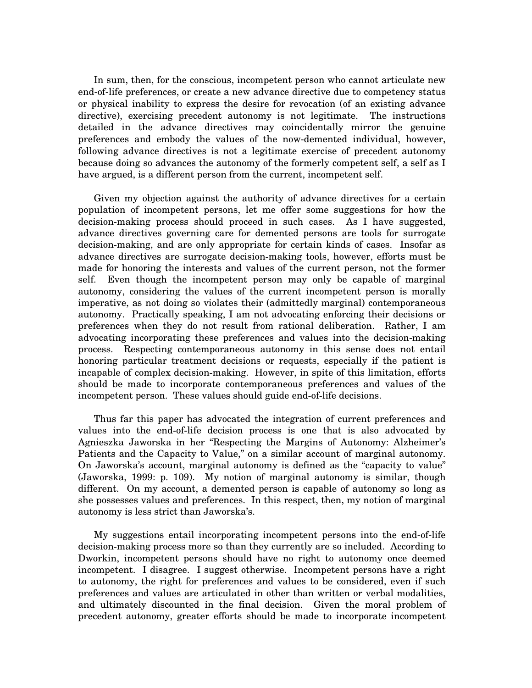In sum, then, for the conscious, incompetent person who cannot articulate new end-of-life preferences, or create a new advance directive due to competency status or physical inability to express the desire for revocation (of an existing advance directive), exercising precedent autonomy is not legitimate. The instructions detailed in the advance directives may coincidentally mirror the genuine preferences and embody the values of the now-demented individual, however, following advance directives is not a legitimate exercise of precedent autonomy because doing so advances the autonomy of the formerly competent self, a self as I have argued, is a different person from the current, incompetent self.

Given my objection against the authority of advance directives for a certain population of incompetent persons, let me offer some suggestions for how the decision-making process should proceed in such cases. As I have suggested, advance directives governing care for demented persons are tools for surrogate decision-making, and are only appropriate for certain kinds of cases. Insofar as advance directives are surrogate decision-making tools, however, efforts must be made for honoring the interests and values of the current person, not the former self. Even though the incompetent person may only be capable of marginal autonomy, considering the values of the current incompetent person is morally imperative, as not doing so violates their (admittedly marginal) contemporaneous autonomy. Practically speaking, I am not advocating enforcing their decisions or preferences when they do not result from rational deliberation. Rather, I am advocating incorporating these preferences and values into the decision-making process. Respecting contemporaneous autonomy in this sense does not entail honoring particular treatment decisions or requests, especially if the patient is incapable of complex decision-making. However, in spite of this limitation, efforts should be made to incorporate contemporaneous preferences and values of the incompetent person. These values should guide end-of-life decisions.

Thus far this paper has advocated the integration of current preferences and values into the end-of-life decision process is one that is also advocated by Agnieszka Jaworska in her "Respecting the Margins of Autonomy: Alzheimer's Patients and the Capacity to Value," on a similar account of marginal autonomy. On Jaworska's account, marginal autonomy is defined as the "capacity to value" (Jaworska, 1999: p. 109). My notion of marginal autonomy is similar, though different. On my account, a demented person is capable of autonomy so long as she possesses values and preferences. In this respect, then, my notion of marginal autonomy is less strict than Jaworska's.

My suggestions entail incorporating incompetent persons into the end-of-life decision-making process more so than they currently are so included. According to Dworkin, incompetent persons should have no right to autonomy once deemed incompetent. I disagree. I suggest otherwise. Incompetent persons have a right to autonomy, the right for preferences and values to be considered, even if such preferences and values are articulated in other than written or verbal modalities, and ultimately discounted in the final decision. Given the moral problem of precedent autonomy, greater efforts should be made to incorporate incompetent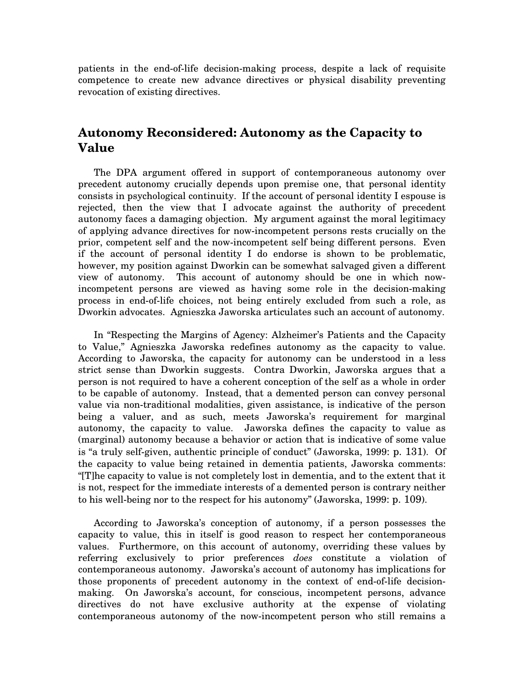patients in the end-of-life decision-making process, despite a lack of requisite competence to create new advance directives or physical disability preventing revocation of existing directives.

### **Autonomy Reconsidered: Autonomy as the Capacity to Value**

The DPA argument offered in support of contemporaneous autonomy over precedent autonomy crucially depends upon premise one, that personal identity consists in psychological continuity. If the account of personal identity I espouse is rejected, then the view that I advocate against the authority of precedent autonomy faces a damaging objection. My argument against the moral legitimacy of applying advance directives for now-incompetent persons rests crucially on the prior, competent self and the now-incompetent self being different persons. Even if the account of personal identity I do endorse is shown to be problematic, however, my position against Dworkin can be somewhat salvaged given a different view of autonomy. This account of autonomy should be one in which nowincompetent persons are viewed as having some role in the decision-making process in end-of-life choices, not being entirely excluded from such a role, as Dworkin advocates. Agnieszka Jaworska articulates such an account of autonomy.

In "Respecting the Margins of Agency: Alzheimer's Patients and the Capacity to Value," Agnieszka Jaworska redefines autonomy as the capacity to value. According to Jaworska, the capacity for autonomy can be understood in a less strict sense than Dworkin suggests. Contra Dworkin, Jaworska argues that a person is not required to have a coherent conception of the self as a whole in order to be capable of autonomy. Instead, that a demented person can convey personal value via non-traditional modalities, given assistance, is indicative of the person being a valuer, and as such, meets Jaworska's requirement for marginal autonomy, the capacity to value. Jaworska defines the capacity to value as (marginal) autonomy because a behavior or action that is indicative of some value is "a truly self-given, authentic principle of conduct" (Jaworska, 1999: p. 131). Of the capacity to value being retained in dementia patients, Jaworska comments: "[T]he capacity to value is not completely lost in dementia, and to the extent that it is not, respect for the immediate interests of a demented person is contrary neither to his well-being nor to the respect for his autonomy" (Jaworska, 1999: p. 109).

According to Jaworska's conception of autonomy, if a person possesses the capacity to value, this in itself is good reason to respect her contemporaneous values. Furthermore, on this account of autonomy, overriding these values by referring exclusively to prior preferences *does* constitute a violation of contemporaneous autonomy. Jaworska's account of autonomy has implications for those proponents of precedent autonomy in the context of end-of-life decisionmaking. On Jaworska's account, for conscious, incompetent persons, advance directives do not have exclusive authority at the expense of violating contemporaneous autonomy of the now-incompetent person who still remains a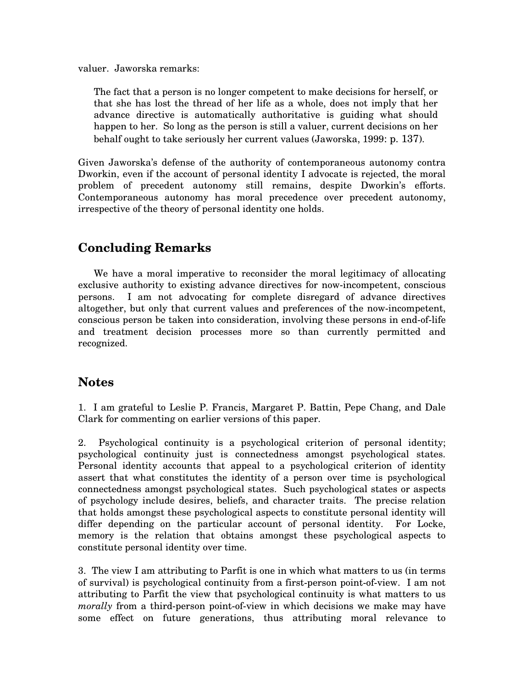valuer. Jaworska remarks:

The fact that a person is no longer competent to make decisions for herself, or that she has lost the thread of her life as a whole, does not imply that her advance directive is automatically authoritative is guiding what should happen to her. So long as the person is still a valuer, current decisions on her behalf ought to take seriously her current values (Jaworska, 1999: p. 137).

Given Jaworska's defense of the authority of contemporaneous autonomy contra Dworkin, even if the account of personal identity I advocate is rejected, the moral problem of precedent autonomy still remains, despite Dworkin's efforts. Contemporaneous autonomy has moral precedence over precedent autonomy, irrespective of the theory of personal identity one holds.

## **Concluding Remarks**

We have a moral imperative to reconsider the moral legitimacy of allocating exclusive authority to existing advance directives for now-incompetent, conscious persons. I am not advocating for complete disregard of advance directives altogether, but only that current values and preferences of the now-incompetent, conscious person be taken into consideration, involving these persons in end-of-life and treatment decision processes more so than currently permitted and recognized.

### **Notes**

1. I am grateful to Leslie P. Francis, Margaret P. Battin, Pepe Chang, and Dale Clark for commenting on earlier versions of this paper.

2. Psychological continuity is a psychological criterion of personal identity; psychological continuity just is connectedness amongst psychological states. Personal identity accounts that appeal to a psychological criterion of identity assert that what constitutes the identity of a person over time is psychological connectedness amongst psychological states. Such psychological states or aspects of psychology include desires, beliefs, and character traits. The precise relation that holds amongst these psychological aspects to constitute personal identity will differ depending on the particular account of personal identity. For Locke, memory is the relation that obtains amongst these psychological aspects to constitute personal identity over time.

3. The view I am attributing to Parfit is one in which what matters to us (in terms of survival) is psychological continuity from a first-person point-of-view. I am not attributing to Parfit the view that psychological continuity is what matters to us *morally* from a third-person point-of-view in which decisions we make may have some effect on future generations, thus attributing moral relevance to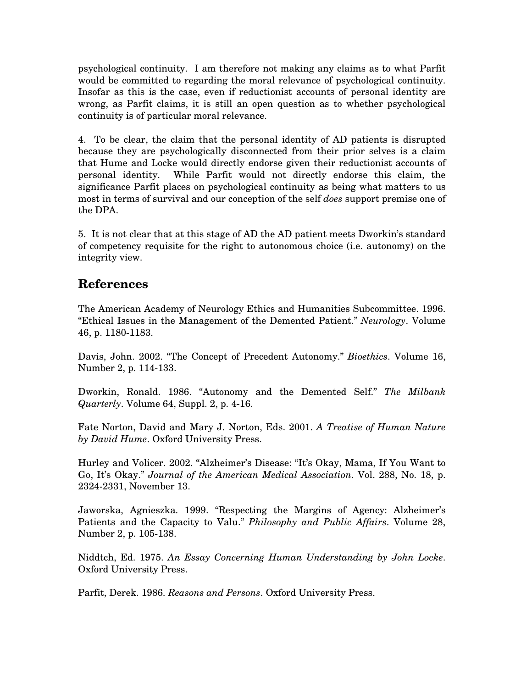psychological continuity. I am therefore not making any claims as to what Parfit would be committed to regarding the moral relevance of psychological continuity. Insofar as this is the case, even if reductionist accounts of personal identity are wrong, as Parfit claims, it is still an open question as to whether psychological continuity is of particular moral relevance.

4. To be clear, the claim that the personal identity of AD patients is disrupted because they are psychologically disconnected from their prior selves is a claim that Hume and Locke would directly endorse given their reductionist accounts of personal identity. While Parfit would not directly endorse this claim, the significance Parfit places on psychological continuity as being what matters to us most in terms of survival and our conception of the self *does* support premise one of the DPA.

5. It is not clear that at this stage of AD the AD patient meets Dworkin's standard of competency requisite for the right to autonomous choice (i.e. autonomy) on the integrity view.

## **References**

The American Academy of Neurology Ethics and Humanities Subcommittee. 1996. "Ethical Issues in the Management of the Demented Patient." *Neurology*. Volume 46, p. 1180-1183.

Davis, John. 2002. "The Concept of Precedent Autonomy." *Bioethics*. Volume 16, Number 2, p. 114-133.

Dworkin, Ronald. 1986. "Autonomy and the Demented Self." *The Milbank Quarterly*. Volume 64, Suppl. 2, p. 4-16.

Fate Norton, David and Mary J. Norton, Eds. 2001. *A Treatise of Human Nature by David Hume*. Oxford University Press.

Hurley and Volicer. 2002. "Alzheimer's Disease: "It's Okay, Mama, If You Want to Go, It's Okay." *Journal of the American Medical Association*. Vol. 288, No. 18, p. 2324-2331, November 13.

Jaworska, Agnieszka. 1999. "Respecting the Margins of Agency: Alzheimer's Patients and the Capacity to Valu." *Philosophy and Public Affairs*. Volume 28, Number 2, p. 105-138.

Niddtch, Ed. 1975. *An Essay Concerning Human Understanding by John Locke*. Oxford University Press.

Parfit, Derek. 1986. *Reasons and Persons*. Oxford University Press.